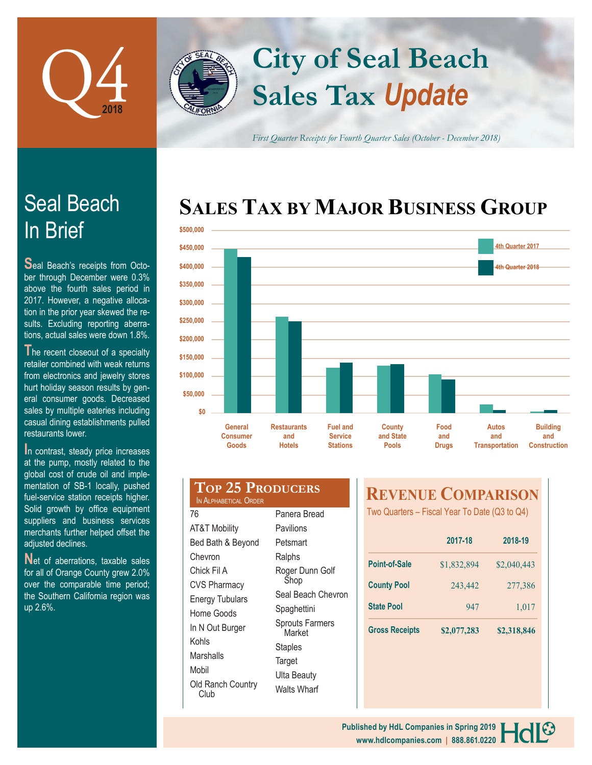

In Brief

Seal Beach

**S**eal Beach's receipts from October through December were 0.3% above the fourth sales period in 2017. However, a negative allocation in the prior year skewed the results. Excluding reporting aberrations, actual sales were down 1.8%. The recent closeout of a specialty retailer combined with weak returns from electronics and jewelry stores hurt holiday season results by general consumer goods. Decreased

# **Sales Tax** *Update* **City of Seal Beach**

*First Quarter Receipts for Fourth Quarter Sales (October - December 2018)*

## **SALES TAX BY MAJOR BUSINESS GROUP**



| sales by multiple eateries including  |
|---------------------------------------|
| casual dining establishments pulled   |
| restaurants lower.                    |
| In contrast, steady price increases   |
|                                       |
| at the pump, mostly related to the    |
| global cost of crude oil and imple-   |
| mentation of SB-1 locally, pushed     |
| fuel-service station receipts higher. |
| Solid growth by office equipment      |
| suppliers and business services       |
| merchants further helped offset the   |
| adiusted declines.                    |

**N**et of aberrations, taxable sales for all of Orange County grew 2.0% over the comparable time period; the Southern California region was up 2.6%.

| <b>TOP 25 PRODUCERS</b><br>IN ALPHABETICAL ORDER |                                  |  |  |  |  |
|--------------------------------------------------|----------------------------------|--|--|--|--|
| 76                                               | Panera Bread                     |  |  |  |  |
| <b>AT&amp;T Mobility</b>                         | Pavilions                        |  |  |  |  |
| Bed Bath & Beyond                                | Petsmart                         |  |  |  |  |
| Chevron                                          | Ralphs                           |  |  |  |  |
| Chick Fil A                                      | Roger Dunn Golf                  |  |  |  |  |
| <b>CVS Pharmacy</b>                              | Shop                             |  |  |  |  |
| <b>Energy Tubulars</b>                           | Seal Beach Chevron               |  |  |  |  |
| Home Goods                                       | Spaghettini                      |  |  |  |  |
| In N Out Burger                                  | <b>Sprouts Farmers</b><br>Market |  |  |  |  |
| Kohls                                            | Staples                          |  |  |  |  |
| Marshalls                                        |                                  |  |  |  |  |

Mobil

Club

Old Ranch Country **Target** Ulta Beauty Walts Wharf

### **REVENUE COMPARISON**

Two Quarters – Fiscal Year To Date (Q3 to Q4)

|                       | 2017-18     | 2018-19     |  |
|-----------------------|-------------|-------------|--|
| <b>Point-of-Sale</b>  | \$1,832,894 | \$2,040,443 |  |
| <b>County Pool</b>    | 243,442     | 277,386     |  |
| <b>State Pool</b>     | 947         | 1,017       |  |
| <b>Gross Receipts</b> | \$2,077,283 | \$2,318,846 |  |

**www.hdlcompanies.com | 888.861.0220 Published by HdL Companies in Spring 2019**